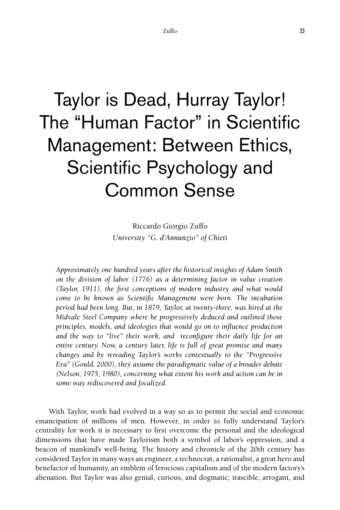# Taylor is Dead, Hurray Taylor! The "Human Factor" in Scientific Management: Between Ethics, Scientific Psychology and Common Sense

Riccardo Giorgio Zuffo *University "G. d'Annunzio" of Chieti* 

*Approximately one hundred years after the historical insights of Adam Smith on the division of labor (1776) as a determining factor in value creation (Taylor, 1911), the first conceptions of modern industry and what would come to be known as Scientific Management were born. The incubation period had been long. But, in 1879, Taylor, at twenty-three, was hired at the Midvale Steel Company where he progressively deduced and outlined those principles, models, and ideologies that would go on to influence production and the way to "live" their work, and reconfigure their daily life for an entire century. Now, a century later, life is full of great promise and many changes and by rereading Taylor's works contextually to the "Progressive Era" (Gould, 2000), they assume the paradigmatic value of a broader debate (Nelson, 1975, 1980), concerning what extent his work and action can be in some way rediscovered and focalized.* 

With Taylor, work had evolved in a way so as to permit the social and economic emancipation of millions of men. However, in order to fully understand Taylor's centrality for work it is necessary to first overcome the personal and the ideological dimensions that have made Taylorism both a symbol of labor's oppression, and a beacon of mankind's well-being. The history and chronicle of the 20th century has considered Taylor in many ways an engineer, a technocrat, a rationalist, a great hero and benefactor of humanity, an emblem of ferocious capitalism and of the modern factory's alienation. But Taylor was also genial, curious, and dogmatic; irascible, arrogant, and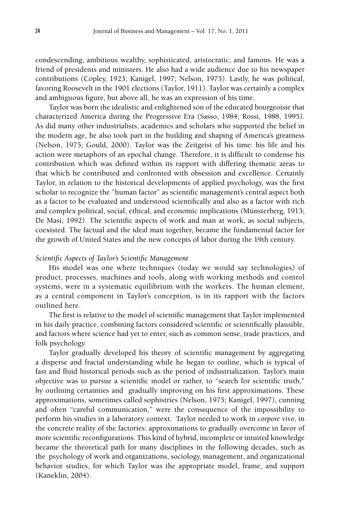condescending; ambitious wealthy, sophisticated, aristocratic, and famous. He was a friend of presidents and ministers. He also had a wide audience due to his newspaper contributions (Copley, 1923; Kanigel, 1997; Nelson, 1975). Lastly, he was political, favoring Roosevelt in the 1901 elections (Taylor, 1911). Taylor was certainly a complex and ambiguous figure, but above all, he was an expression of his time.

Taylor was born the idealistic and enlightened son of the educated bourgeoisie that characterized America during the Progressive Era (Sasso, 1984; Rossi, 1988, 1995). As did many other industrialists, academics and scholars who supported the belief in the modern age, he also took part in the building and shaping of America's greatness (Nelson, 1975; Gould, 2000). Taylor was the Zeitgeist of his time: his life and his action were metaphors of an epochal change. Therefore, it is difficult to condense his contribution which was defined within its rapport with differing thematic areas to that which he contributed and confronted with obsession and excellence. Certainly Taylor, in relation to the historical developments of applied psychology, was the first scholar to recognize the "human factor" as scientific management's central aspect both as a factor to be evaluated and understood scientifically and also as a factor with rich and complex political, social, ethical, and economic implications (Münsterberg, 1913; De Masi, 1992). The scientific aspects of work and man at work, as social subjects, coexisted. The factual and the ideal man together, became the fundamental factor for the growth of United States and the new concepts of labor during the 19th century.

## *Scientific Aspects of Taylor's Scientific Management*

His model was one where techniques (today we would say technologies) of product, processes, machines and tools, along with working methods and control systems, were in a systematic equilibrium with the workers. The human element, as a central component in Taylor's conception, is in its rapport with the factors outlined here.

The first is relative to the model of scientific management that Taylor implemented in his daily practice, combining factors considered scientific or scientifically plausible, and factors where science had yet to enter, such as common sense, trade practices, and folk psychology.

Taylor gradually developed his theory of scientific management by aggregating a disperse and fractal understanding while he began to outline, which is typical of fast and fluid historical periods such as the period of industrialization. Taylor's main objective was to pursue a scientific model or rather, to "search for scientific truth," by outlining certainties and gradually improving on his first approximations. These approximations, sometimes called sophistries (Nelson, 1975; Kanigel, 1997), cunning and often "careful communication," were the consequence of the impossibility to perform his studies in a laboratory context. Taylor needed to work in *corpore vivo*, in the concrete reality of the factories: approximations to gradually overcome in favor of more scientific reconfigurations. This kind of hybrid, incomplete or intuited knowledge became the theoretical path for many disciplines in the following decades, such as the psychology of work and organizations, sociology, management, and organizational behavior studies, for which Taylor was the appropriate model, frame, and support (Kaneklin, 2004).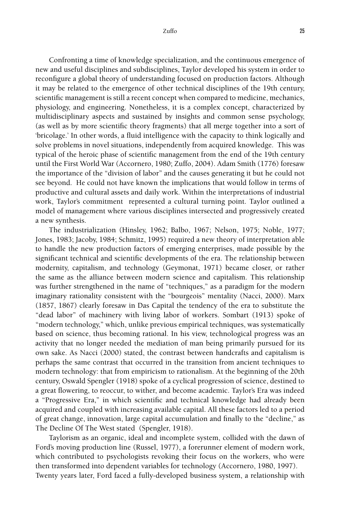Confronting a time of knowledge specialization, and the continuous emergence of new and useful disciplines and subdisciplines, Taylor developed his system in order to reconfigure a global theory of understanding focused on production factors. Although it may be related to the emergence of other technical disciplines of the 19th century, scientific management is still a recent concept when compared to medicine, mechanics, physiology, and engineering. Nonetheless, it is a complex concept, characterized by multidisciplinary aspects and sustained by insights and common sense psychology, (as well as by more scientific theory fragments) that all merge together into a sort of 'bricolage.' In other words, a fluid intelligence with the capacity to think logically and solve problems in novel situations, independently from acquired knowledge. This was typical of the heroic phase of scientific management from the end of the 19th century until the First World War (Accornero, 1980; Zuffo, 2004). Adam Smith (1776) foresaw the importance of the "division of labor" and the causes generating it but he could not see beyond. He could not have known the implications that would follow in terms of productive and cultural assets and daily work. Within the interpretations of industrial work, Taylor's commitment represented a cultural turning point. Taylor outlined a model of management where various disciplines intersected and progressively created a new synthesis.

The industrialization (Hinsley, 1962; Balbo, 1967; Nelson, 1975; Noble, 1977; Jones, 1983; Jacoby, 1984; Schmitz, 1995) required a new theory of interpretation able to handle the new production factors of emerging enterprises, made possible by the significant technical and scientific developments of the era. The relationship between modernity, capitalism, and technology (Geymonat, 1971) became closer, or rather the same as the alliance between modern science and capitalism. This relationship was further strengthened in the name of "techniques," as a paradigm for the modern imaginary rationality consistent with the "bourgeois" mentality (Nacci, 2000). Marx (1857, 1867) clearly foresaw in Das Capital the tendency of the era to substitute the "dead labor" of machinery with living labor of workers. Sombart (1913) spoke of "modern technology," which, unlike previous empirical techniques, was systematically based on science, thus becoming rational. In his view, technological progress was an activity that no longer needed the mediation of man being primarily pursued for its own sake. As Nacci (2000) stated, the contrast between handcrafts and capitalism is perhaps the same contrast that occurred in the transition from ancient techniques to modern technology: that from empiricism to rationalism. At the beginning of the 20th century, Oswald Spengler (1918) spoke of a cyclical progression of science, destined to a great flowering, to reoccur, to wither, and become academic. Taylor's Era was indeed a "Progressive Era," in which scientific and technical knowledge had already been acquired and coupled with increasing available capital. All these factors led to a period of great change, innovation, large capital accumulation and finally to the "decline," as The Decline Of The West stated (Spengler, 1918).

Taylorism as an organic, ideal and incomplete system, collided with the dawn of Ford's moving production line (Russel, 1977), a forerunner element of modern work, which contributed to psychologists revoking their focus on the workers, who were then transformed into dependent variables for technology (Accornero, 1980, 1997). Twenty years later, Ford faced a fully-developed business system, a relationship with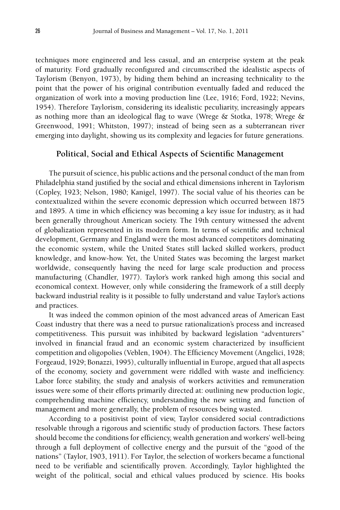techniques more engineered and less casual, and an enterprise system at the peak of maturity. Ford gradually reconfigured and circumscribed the idealistic aspects of Taylorism (Benyon, 1973), by hiding them behind an increasing technicality to the point that the power of his original contribution eventually faded and reduced the organization of work into a moving production line (Lee, 1916; Ford, 1922; Nevins, 1954). Therefore Taylorism, considering its idealistic peculiarity, increasingly appears as nothing more than an ideological flag to wave (Wrege  $\&$  Stotka, 1978; Wrege  $\&$ Greenwood, 1991; Whitston, 1997); instead of being seen as a subterranean river emerging into daylight, showing us its complexity and legacies for future generations.

## **Political, Social and Ethical Aspects of Scientific Management**

The pursuit of science, his public actions and the personal conduct of the man from Philadelphia stand justified by the social and ethical dimensions inherent in Taylorism (Copley, 1923; Nelson, 1980; Kanigel, 1997). The social value of his theories can be contextualized within the severe economic depression which occurred between 1875 and 1895. A time in which efficiency was becoming a key issue for industry, as it had been generally throughout American society. The 19th century witnessed the advent of globalization represented in its modern form. In terms of scientific and technical development, Germany and England were the most advanced competitors dominating the economic system, while the United States still lacked skilled workers, product knowledge, and know-how. Yet, the United States was becoming the largest market worldwide, consequently having the need for large scale production and process manufacturing (Chandler, 1977). Taylor's work ranked high among this social and economical context. However, only while considering the framework of a still deeply backward industrial reality is it possible to fully understand and value Taylor's actions and practices.

It was indeed the common opinion of the most advanced areas of American East Coast industry that there was a need to pursue rationalization's process and increased competitiveness. This pursuit was inhibited by backward legislation "adventurers" involved in financial fraud and an economic system characterized by insufficient competition and oligopolies (Veblen, 1904). The Efficiency Movement (Angelici, 1928; Forgeaud, 1929; Bonazzi, 1995), culturally influential in Europe, argued that all aspects of the economy, society and government were riddled with waste and inefficiency. Labor force stability, the study and analysis of workers activities and remuneration issues were some of their efforts primarily directed at: outlining new production logic, comprehending machine efficiency, understanding the new setting and function of management and more generally, the problem of resources being wasted.

According to a positivist point of view, Taylor considered social contradictions resolvable through a rigorous and scientific study of production factors. These factors should become the conditions for efficiency, wealth generation and workers' well-being through a full deployment of collective energy and the pursuit of the "good of the nations" (Taylor, 1903, 1911). For Taylor, the selection of workers became a functional need to be verifiable and scientifically proven. Accordingly, Taylor highlighted the weight of the political, social and ethical values produced by science. His books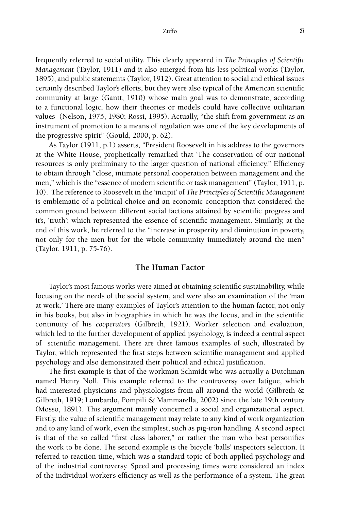frequently referred to social utility. This clearly appeared in *The Principles of Scientific Management* (Taylor, 1911) and it also emerged from his less political works (Taylor, 1895), and public statements (Taylor, 1912). Great attention to social and ethical issues certainly described Taylor's efforts, but they were also typical of the American scientific community at large (Gantt, 1910) whose main goal was to demonstrate, according to a functional logic, how their theories or models could have collective utilitarian values (Nelson, 1975, 1980; Rossi, 1995). Actually, "the shift from government as an instrument of promotion to a means of regulation was one of the key developments of the progressive spirit" (Gould, 2000, p. 62).

As Taylor (1911, p.1) asserts, "President Roosevelt in his address to the governors at the White House, prophetically remarked that 'The conservation of our national resources is only preliminary to the larger question of national efficiency." Efficiency to obtain through "close, intimate personal cooperation between management and the men," which is the "essence of modern scientific or task management" (Taylor, 1911, p. 10). The reference to Roosevelt in the 'incipit' of *The Principles of Scientific Management* is emblematic of a political choice and an economic conception that considered the common ground between different social factions attained by scientific progress and it's, 'truth'; which represented the essence of scientific management. Similarly, at the end of this work, he referred to the "increase in prosperity and diminution in poverty, not only for the men but for the whole community immediately around the men" (Taylor, 1911, p. 75-76).

## **The Human Factor**

Taylor's most famous works were aimed at obtaining scientific sustainability, while focusing on the needs of the social system, and were also an examination of the 'man at work.' There are many examples of Taylor's attention to the human factor, not only in his books, but also in biographies in which he was the focus, and in the scientific continuity of his *cooperators* (Gilbreth, 1921). Worker selection and evaluation, which led to the further development of applied psychology, is indeed a central aspect of scientific management. There are three famous examples of such, illustrated by Taylor, which represented the first steps between scientific management and applied psychology and also demonstrated their political and ethical justification.

The first example is that of the workman Schmidt who was actually a Dutchman named Henry Noll. This example referred to the controversy over fatigue, which had interested physicians and physiologists from all around the world (Gilbreth & Gilbreth, 1919; Lombardo, Pompili & Mammarella, 2002) since the late 19th century (Mosso, 1891). This argument mainly concerned a social and organizational aspect. Firstly, the value of scientific management may relate to any kind of work organization and to any kind of work, even the simplest, such as pig-iron handling. A second aspect is that of the so called "first class laborer," or rather the man who best personifies the work to be done. The second example is the bicycle 'balls' inspectors selection. It referred to reaction time, which was a standard topic of both applied psychology and of the industrial controversy. Speed and processing times were considered an index of the individual worker's efficiency as well as the performance of a system. The great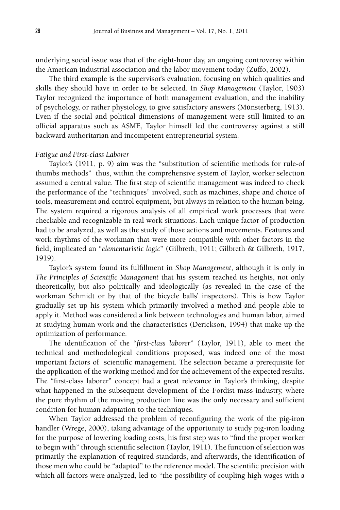underlying social issue was that of the eight-hour day, an ongoing controversy within the American industrial association and the labor movement today (Zuffo, 2002).

The third example is the supervisor's evaluation, focusing on which qualities and skills they should have in order to be selected. In *Shop Management* (Taylor, 1903) Taylor recognized the importance of both management evaluation, and the inability of psychology, or rather physiology, to give satisfactory answers (Münsterberg, 1913). Even if the social and political dimensions of management were still limited to an official apparatus such as ASME, Taylor himself led the controversy against a still backward authoritarian and incompetent entrepreneurial system.

# *Fatigue and First-class Laborer*

Taylor's (1911, p. 9) aim was the "substitution of scientific methods for rule-of thumbs methods" thus, within the comprehensive system of Taylor, worker selection assumed a central value. The first step of scientific management was indeed to check the performance of the "techniques" involved, such as machines, shape and choice of tools, measurement and control equipment, but always in relation to the human being. The system required a rigorous analysis of all empirical work processes that were checkable and recognizable in real work situations. Each unique factor of production had to be analyzed, as well as the study of those actions and movements. Features and work rhythms of the workman that were more compatible with other factors in the field, implicated an "*elementaristic logic*" (Gilbreth, 1911; Gilbreth & Gilbreth, 1917, 1919).

Taylor's system found its fulfillment in *Shop Management*, although it is only in *The Principles of Scientific Management* that his system reached its heights, not only theoretically, but also politically and ideologically (as revealed in the case of the workman Schmidt or by that of the bicycle balls' inspectors). This is how Taylor gradually set up his system which primarily involved a method and people able to apply it. Method was considered a link between technologies and human labor, aimed at studying human work and the characteristics (Derickson, 1994) that make up the optimization of performance.

The identification of the "*first-class laborer*" (Taylor, 1911), able to meet the technical and methodological conditions proposed, was indeed one of the most important factors of scientific management. The selection became a prerequisite for the application of the working method and for the achievement of the expected results. The "first-class laborer" concept had a great relevance in Taylor's thinking, despite what happened in the subsequent development of the Fordist mass industry, where the pure rhythm of the moving production line was the only necessary and sufficient condition for human adaptation to the techniques.

When Taylor addressed the problem of reconfiguring the work of the pig-iron handler (Wrege, 2000), taking advantage of the opportunity to study pig-iron loading for the purpose of lowering loading costs, his first step was to "find the proper worker to begin with" through scientific selection (Taylor, 1911). The function of selection was primarily the explanation of required standards, and afterwards, the identification of those men who could be "adapted" to the reference model. The scientific precision with which all factors were analyzed, led to "the possibility of coupling high wages with a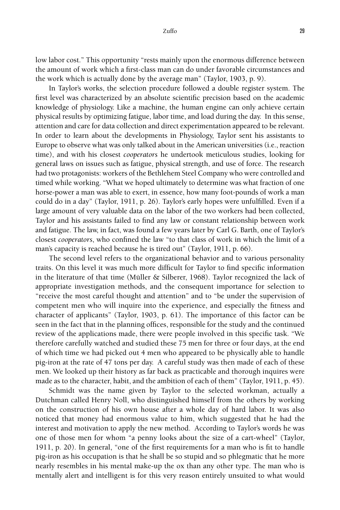low labor cost." This opportunity "rests mainly upon the enormous difference between the amount of work which a first-class man can do under favorable circumstances and the work which is actually done by the average man" (Taylor, 1903, p. 9).

In Taylor's works, the selection procedure followed a double register system. The first level was characterized by an absolute scientific precision based on the academic knowledge of physiology. Like a machine, the human engine can only achieve certain physical results by optimizing fatigue, labor time, and load during the day. In this sense, attention and care for data collection and direct experimentation appeared to be relevant. In order to learn about the developments in Physiology, Taylor sent his assistants to Europe to observe what was only talked about in the American universities (i.e., reaction time), and with his closest *cooperators* he undertook meticulous studies, looking for general laws on issues such as fatigue, physical strength, and use of force. The research had two protagonists: workers of the Bethlehem Steel Company who were controlled and timed while working. "What we hoped ultimately to determine was what fraction of one horse-power a man was able to exert, in essence, how many foot-pounds of work a man could do in a day" (Taylor, 1911, p. 26). Taylor's early hopes were unfulfilled. Even if a large amount of very valuable data on the labor of the two workers had been collected, Taylor and his assistants failed to find any law or constant relationship between work and fatigue. The law, in fact, was found a few years later by Carl G. Barth, one of Taylor's closest *cooperators*, who confined the law "to that class of work in which the limit of a man's capacity is reached because he is tired out" (Taylor, 1911, p. 66).

The second level refers to the organizational behavior and to various personality traits. On this level it was much more difficult for Taylor to find specific information in the literature of that time (Müller & Silberer, 1968). Taylor recognized the lack of appropriate investigation methods, and the consequent importance for selection to "receive the most careful thought and attention" and to "be under the supervision of competent men who will inquire into the experience, and especially the fitness and character of applicants" (Taylor, 1903, p. 61). The importance of this factor can be seen in the fact that in the planning offices, responsible for the study and the continued review of the applications made, there were people involved in this specific task. "We therefore carefully watched and studied these 75 men for three or four days, at the end of which time we had picked out 4 men who appeared to be physically able to handle pig-iron at the rate of 47 tons per day. A careful study was then made of each of these men. We looked up their history as far back as practicable and thorough inquires were made as to the character, habit, and the ambition of each of them" (Taylor, 1911, p. 45).

Schmidt was the name given by Taylor to the selected workman, actually a Dutchman called Henry Noll, who distinguished himself from the others by working on the construction of his own house after a whole day of hard labor. It was also noticed that money had enormous value to him, which suggested that he had the interest and motivation to apply the new method. According to Taylor's words he was one of those men for whom "a penny looks about the size of a cart-wheel" (Taylor, 1911, p. 20). In general, "one of the first requirements for a man who is fit to handle pig-iron as his occupation is that he shall be so stupid and so phlegmatic that he more nearly resembles in his mental make-up the ox than any other type. The man who is mentally alert and intelligent is for this very reason entirely unsuited to what would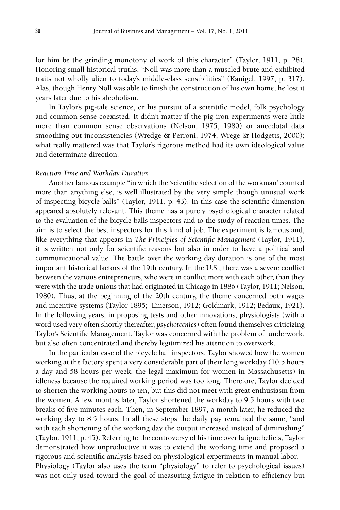for him be the grinding monotony of work of this character" (Taylor, 1911, p. 28). Honoring small historical truths, "Noll was more than a muscled brute and exhibited traits not wholly alien to today's middle-class sensibilities" (Kanigel, 1997, p. 317). Alas, though Henry Noll was able to finish the construction of his own home, he lost it years later due to his alcoholism.

In Taylor's pig-tale science, or his pursuit of a scientific model, folk psychology and common sense coexisted. It didn't matter if the pig-iron experiments were little more than common sense observations (Nelson, 1975, 1980) or anecdotal data smoothing out inconsistencies (Wredge & Perroni, 1974; Wrege & Hodgetts, 2000); what really mattered was that Taylor's rigorous method had its own ideological value and determinate direction.

## *Reaction Time and Workday Duration*

Another famous example "in which the 'scientific selection of the workman' counted more than anything else, is well illustrated by the very simple though unusual work of inspecting bicycle balls" (Taylor, 1911, p. 43). In this case the scientific dimension appeared absolutely relevant. This theme has a purely psychological character related to the evaluation of the bicycle balls inspectors and to the study of reaction times. The aim is to select the best inspectors for this kind of job. The experiment is famous and, like everything that appears in *The Principles of Scientific Management* (Taylor, 1911), it is written not only for scientific reasons but also in order to have a political and communicational value. The battle over the working day duration is one of the most important historical factors of the 19th century. In the U.S., there was a severe conflict between the various entrepreneurs, who were in conflict more with each other, than they were with the trade unions that had originated in Chicago in 1886 (Taylor, 1911; Nelson, 1980). Thus, at the beginning of the 20th century, the theme concerned both wages and incentive systems (Taylor 1895; Emerson, 1912; Goldmark, 1912; Bedaux, 1921). In the following years, in proposing tests and other innovations, physiologists (with a word used very often shortly thereafter, *psychotecnics*) often found themselves criticizing Taylor's Scientific Management. Taylor was concerned with the problem of underwork, but also often concentrated and thereby legitimized his attention to overwork.

In the particular case of the bicycle ball inspectors, Taylor showed how the women working at the factory spent a very considerable part of their long workday (10.5 hours a day and 58 hours per week, the legal maximum for women in Massachusetts) in idleness because the required working period was too long. Therefore, Taylor decided to shorten the working hours to ten, but this did not meet with great enthusiasm from the women. A few months later, Taylor shortened the workday to 9.5 hours with two breaks of five minutes each. Then, in September 1897, a month later, he reduced the working day to 8.5 hours. In all these steps the daily pay remained the same, "and with each shortening of the working day the output increased instead of diminishing" (Taylor, 1911, p. 45). Referring to the controversy of his time over fatigue beliefs, Taylor demonstrated how unproductive it was to extend the working time and proposed a rigorous and scientific analysis based on physiological experiments in manual labor. Physiology (Taylor also uses the term "physiology" to refer to psychological issues) was not only used toward the goal of measuring fatigue in relation to efficiency but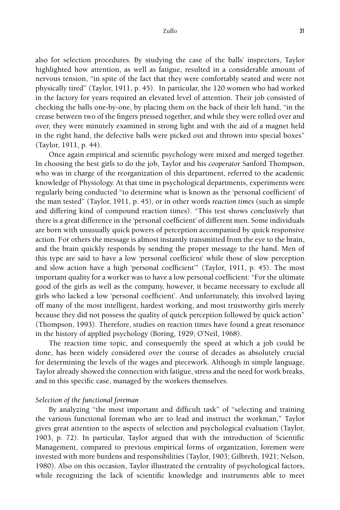#### Zuffo 31

also for selection procedures. By studying the case of the balls' inspectors, Taylor highlighted how attention, as well as fatigue, resulted in a considerable amount of nervous tension, "in spite of the fact that they were comfortably seated and were not physically tired" (Taylor, 1911, p. 45). In particular, the 120 women who had worked in the factory for years required an elevated level of attention. Their job consisted of checking the balls one-by-one, by placing them on the back of their left hand, "in the crease between two of the fingers pressed together, and while they were rolled over and over, they were minutely examined in strong light and with the aid of a magnet held in the right hand, the defective balls were picked out and thrown into special boxes" (Taylor, 1911, p. 44).

Once again empirical and scientific psychology were mixed and merged together. In choosing the best girls to do the job, Taylor and his *cooperator* Sanford Thompson, who was in charge of the reorganization of this department, referred to the academic knowledge of Physiology. At that time in psychological departments, experiments were regularly being conducted "to determine what is known as the 'personal coefficient' of the man tested" (Taylor, 1911, p. 45), or in other words *reaction times* (such as simple and differing kind of compound reaction times). "This test shows conclusively that there is a great difference in the 'personal coefficient' of different men. Some individuals are born with unusually quick powers of perception accompanied by quick responsive action. For others the message is almost instantly transmitted from the eye to the brain, and the brain quickly responds by sending the proper message to the hand. Men of this type are said to have a low 'personal coefficient' while those of slow perception and slow action have a high 'personal coefficient'" (Taylor, 1911, p. 45). The most important quality for a worker was to have a low personal coefficient: "For the ultimate good of the girls as well as the company, however, it became necessary to exclude all girls who lacked a low 'personal coefficient'. And unfortunately, this involved laying off many of the most intelligent, hardest working, and most trustworthy girls merely because they did not possess the quality of quick perception followed by quick action" (Thompson, 1993). Therefore, studies on reaction times have found a great resonance in the history of applied psychology (Boring, 1929; O'Neil, 1968).

The reaction time topic, and consequently the speed at which a job could be done, has been widely considered over the course of decades as absolutely crucial for determining the levels of the wages and piecework. Although in simple language, Taylor already showed the connection with fatigue, stress and the need for work breaks, and in this specific case, managed by the workers themselves.

## *Selection of the functional foreman*

By analyzing "the most important and difficult task" of "selecting and training the various functional foreman who are to lead and instruct the workman," Taylor gives great attention to the aspects of selection and psychological evaluation (Taylor, 1903, p. 72). In particular, Taylor argued that with the introduction of Scientific Management, compared to previous empirical forms of organization, foremen were invested with more burdens and responsibilities (Taylor, 1903; Gilbreth, 1921; Nelson, 1980). Also on this occasion, Taylor illustrated the centrality of psychological factors, while recognizing the lack of scientific knowledge and instruments able to meet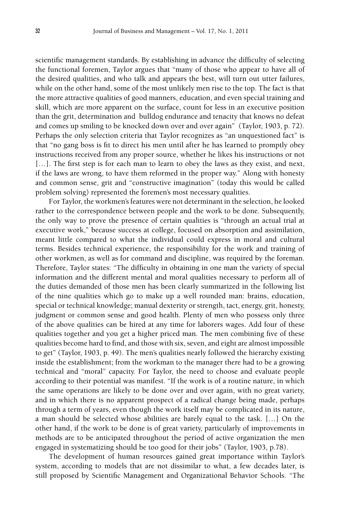scientific management standards. By establishing in advance the difficulty of selecting the functional foremen, Taylor argues that "many of those who appear to have all of the desired qualities, and who talk and appears the best, will turn out utter failures, while on the other hand, some of the most unlikely men rise to the top. The fact is that the more attractive qualities of good manners, education, and even special training and skill, which are more apparent on the surface, count for less in an executive position than the grit, determination and bulldog endurance and tenacity that knows no defeat and comes up smiling to be knocked down over and over again" (Taylor, 1903, p. 72). Perhaps the only selection criteria that Taylor recognizes as "an unquestioned fact" is that "no gang boss is fit to direct his men until after he has learned to promptly obey instructions received from any proper source, whether he likes his instructions or not [...]. The first step is for each man to learn to obey the laws as they exist, and next, if the laws are wrong, to have them reformed in the proper way." Along with honesty and common sense, grit and "constructive imagination" (today this would be called problem solving) represented the foremen's most necessary qualities.

For Taylor, the workmen's features were not determinant in the selection, he looked rather to the correspondence between people and the work to be done. Subsequently, the only way to prove the presence of certain qualities is "through an actual trial at executive work," because success at college, focused on absorption and assimilation, meant little compared to what the individual could express in moral and cultural terms. Besides technical experience, the responsibility for the work and training of other workmen, as well as for command and discipline, was required by the foreman. Therefore, Taylor states: "The difficulty in obtaining in one man the variety of special information and the different mental and moral qualities necessary to perform all of the duties demanded of those men has been clearly summarized in the following list of the nine qualities which go to make up a well rounded man: brains, education, special or technical knowledge; manual dexterity or strength, tact, energy, grit, honesty, judgment or common sense and good health. Plenty of men who possess only three of the above qualities can be hired at any time for laborers wages. Add four of these qualities together and you get a higher priced man. The men combining five of these qualities become hard to find, and those with six, seven, and eight are almost impossible to get" (Taylor, 1903, p. 49). The men's qualities nearly followed the hierarchy existing inside the establishment; from the workman to the manager there had to be a growing technical and "moral" capacity. For Taylor, the need to choose and evaluate people according to their potential was manifest. "If the work is of a routine nature, in which the same operations are likely to be done over and over again, with no great variety, and in which there is no apparent prospect of a radical change being made, perhaps through a term of years, even though the work itself may be complicated in its nature, a man should be selected whose abilities are barely equal to the task. […] On the other hand, if the work to be done is of great variety, particularly of improvements in methods are to be anticipated throughout the period of active organization the men engaged in systematizing should be too good for their jobs" (Taylor, 1903, p.78).

The development of human resources gained great importance within Taylor's system, according to models that are not dissimilar to what, a few decades later, is still proposed by Scientific Management and Organizational Behavior Schools. "The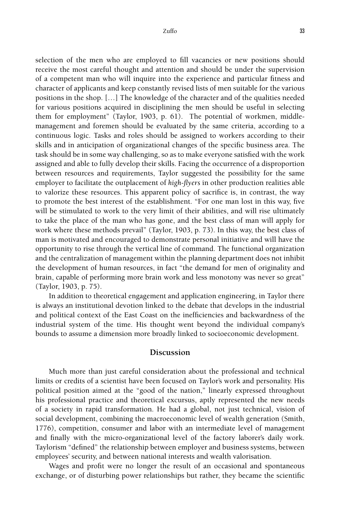selection of the men who are employed to fill vacancies or new positions should receive the most careful thought and attention and should be under the supervision of a competent man who will inquire into the experience and particular fitness and character of applicants and keep constantly revised lists of men suitable for the various positions in the shop. […] The knowledge of the character and of the qualities needed for various positions acquired in disciplining the men should be useful in selecting them for employment" (Taylor, 1903, p. 61). The potential of workmen, middlemanagement and foremen should be evaluated by the same criteria, according to a continuous logic. Tasks and roles should be assigned to workers according to their skills and in anticipation of organizational changes of the specific business area. The task should be in some way challenging, so as to make everyone satisfied with the work assigned and able to fully develop their skills. Facing the occurrence of a disproportion between resources and requirements, Taylor suggested the possibility for the same employer to facilitate the outplacement of *high-flyers* in other production realities able to valorize these resources. This apparent policy of sacrifice is, in contrast, the way to promote the best interest of the establishment. "For one man lost in this way, five will be stimulated to work to the very limit of their abilities, and will rise ultimately to take the place of the man who has gone, and the best class of man will apply for work where these methods prevail" (Taylor, 1903, p. 73). In this way, the best class of man is motivated and encouraged to demonstrate personal initiative and will have the opportunity to rise through the vertical line of command. The functional organization and the centralization of management within the planning department does not inhibit the development of human resources, in fact "the demand for men of originality and brain, capable of performing more brain work and less monotony was never so great" (Taylor, 1903, p. 75).

In addition to theoretical engagement and application engineering, in Taylor there is always an institutional devotion linked to the debate that develops in the industrial and political context of the East Coast on the inefficiencies and backwardness of the industrial system of the time. His thought went beyond the individual company's bounds to assume a dimension more broadly linked to socioeconomic development.

## **Discussion**

Much more than just careful consideration about the professional and technical limits or credits of a scientist have been focused on Taylor's work and personality. His political position aimed at the "good of the nation," linearly expressed throughout his professional practice and theoretical excursus, aptly represented the new needs of a society in rapid transformation. He had a global, not just technical, vision of social development, combining the macroeconomic level of wealth generation (Smith, 1776), competition, consumer and labor with an intermediate level of management and finally with the micro-organizational level of the factory laborer's daily work. Taylorism "defined" the relationship between employer and business systems, between employees' security, and between national interests and wealth valorisation.

Wages and profit were no longer the result of an occasional and spontaneous exchange, or of disturbing power relationships but rather, they became the scientific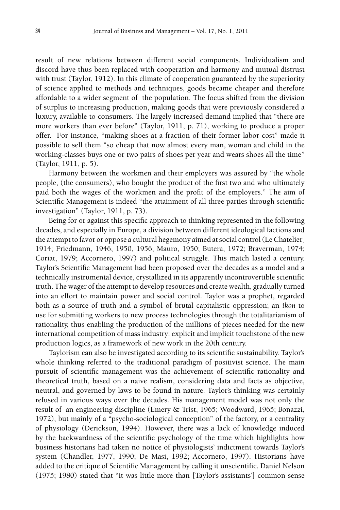result of new relations between different social components. Individualism and discord have thus been replaced with cooperation and harmony and mutual distrust with trust (Taylor, 1912). In this climate of cooperation guaranteed by the superiority of science applied to methods and techniques, goods became cheaper and therefore affordable to a wider segment of the population. The focus shifted from the division of surplus to increasing production, making goods that were previously considered a luxury, available to consumers. The largely increased demand implied that "there are more workers than ever before" (Taylor, 1911, p. 71), working to produce a proper offer. For instance, "making shoes at a fraction of their former labor cost" made it possible to sell them "so cheap that now almost every man, woman and child in the working-classes buys one or two pairs of shoes per year and wears shoes all the time" (Taylor, 1911, p. 5).

Harmony between the workmen and their employers was assured by "the whole people, (the consumers), who bought the product of the first two and who ultimately paid both the wages of the workmen and the profit of the employers." The aim of Scientific Management is indeed "the attainment of all three parties through scientific investigation" (Taylor, 1911, p. 73).

Being for or against this specific approach to thinking represented in the following decades, and especially in Europe, a division between different ideological factions and the attempt to favor or oppose a cultural hegemony aimed at social control (Le Chatelier¸ 1914; Friedmann, 1946, 1950, 1956; Mauro, 1950; Butera, 1972; Braverman, 1974; Coriat, 1979; Accornero, 1997) and political struggle. This match lasted a century. Taylor's Scientific Management had been proposed over the decades as a model and a technically instrumental device, crystallized in its apparently incontrovertible scientific truth. The wager of the attempt to develop resources and create wealth, gradually turned into an effort to maintain power and social control. Taylor was a prophet, regarded both as a source of truth and a symbol of brutal capitalistic oppression; an *ikon* to use for submitting workers to new process technologies through the totalitarianism of rationality, thus enabling the production of the millions of pieces needed for the new international competition of mass industry: explicit and implicit touchstone of the new production logics, as a framework of new work in the 20th century.

Taylorism can also be investigated according to its scientific sustainability. Taylor's whole thinking referred to the traditional paradigm of positivist science. The main pursuit of scientific management was the achievement of scientific rationality and theoretical truth, based on a naive realism, considering data and facts as objective, neutral, and governed by laws to be found in nature. Taylor's thinking was certainly refused in various ways over the decades. His management model was not only the result of an engineering discipline (Emery & Trist, 1965; Woodward, 1965; Bonazzi, 1972), but mainly of a "psycho-sociological conception" of the factory, or a centrality of physiology (Derickson, 1994). However, there was a lack of knowledge induced by the backwardness of the scientific psychology of the time which highlights how business historians had taken no notice of physiologists' indictment towards Taylor's system (Chandler, 1977, 1990; De Masi, 1992; Accornero, 1997). Historians have added to the critique of Scientific Management by calling it unscientific. Daniel Nelson (1975; 1980) stated that "it was little more than [Taylor's assistants'] common sense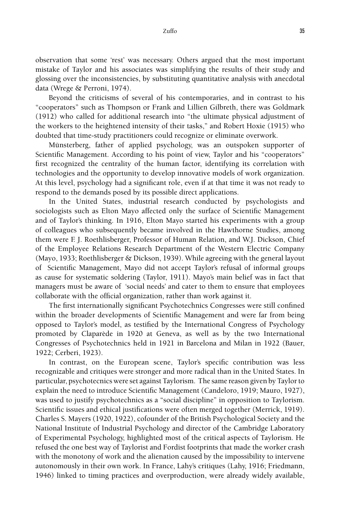observation that some 'rest' was necessary. Others argued that the most important mistake of Taylor and his associates was simplifying the results of their study and glossing over the inconsistencies, by substituting quantitative analysis with anecdotal data (Wrege & Perroni, 1974).

Beyond the criticisms of several of his contemporaries, and in contrast to his "cooperators" such as Thompson or Frank and Lillien Gilbreth, there was Goldmark (1912) who called for additional research into "the ultimate physical adjustment of the workers to the heightened intensity of their tasks," and Robert Hoxie (1915) who doubted that time-study practitioners could recognize or eliminate overwork.

Münsterberg, father of applied psychology, was an outspoken supporter of Scientific Management. According to his point of view, Taylor and his "cooperators" first recognized the centrality of the human factor, identifying its correlation with technologies and the opportunity to develop innovative models of work organization. At this level, psychology had a significant role, even if at that time it was not ready to respond to the demands posed by its possible direct applications.

In the United States, industrial research conducted by psychologists and sociologists such as Elton Mayo affected only the surface of Scientific Management and of Taylor's thinking. In 1916, Elton Mayo started his experiments with a group of colleagues who subsequently became involved in the Hawthorne Studies, among them were F. J. Roethlisberger, Professor of Human Relation, and W.J. Dickson, Chief of the Employee Relations Research Department of the Western Electric Company (Mayo, 1933; Roethlisberger & Dickson, 1939). While agreeing with the general layout of Scientific Management, Mayo did not accept Taylor's refusal of informal groups as cause for systematic soldering (Taylor, 1911). Mayo's main belief was in fact that managers must be aware of 'social needs' and cater to them to ensure that employees collaborate with the official organization, rather than work against it.

The first internationally significant Psychotechnics Congresses were still confined within the broader developments of Scientific Management and were far from being opposed to Taylor's model, as testified by the International Congress of Psychology promoted by Claparède in 1920 at Geneva, as well as by the two International Congresses of Psychotechnics held in 1921 in Barcelona and Milan in 1922 (Bauer, 1922; Cerberi, 1923).

In contrast, on the European scene, Taylor's specific contribution was less recognizable and critiques were stronger and more radical than in the United States. In particular, psychotecnics were set against Taylorism. The same reason given by Taylor to explain the need to introduce Scientific Management (Candeloro, 1919; Mauro, 1927), was used to justify psychotechnics as a "social discipline" in opposition to Taylorism. Scientific issues and ethical justifications were often merged together (Merrick, 1919). Charles S. Mayers (1920, 1922), cofounder of the British Psychological Society and the National Institute of Industrial Psychology and director of the Cambridge Laboratory of Experimental Psychology, highlighted most of the critical aspects of Taylorism. He refused the one best way of Taylorist and Fordist footprints that made the worker crash with the monotony of work and the alienation caused by the impossibility to intervene autonomously in their own work. In France, Lahy's critiques (Lahy, 1916; Friedmann, 1946) linked to timing practices and overproduction, were already widely available,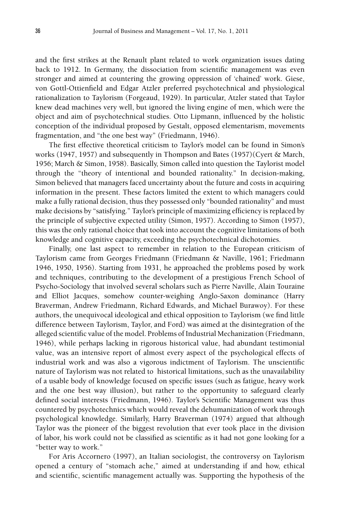and the first strikes at the Renault plant related to work organization issues dating back to 1912. In Germany, the dissociation from scientific management was even stronger and aimed at countering the growing oppression of 'chained' work. Giese, von Gottl-Ottienfield and Edgar Atzler preferred psychotechnical and physiological rationalization to Taylorism (Forgeaud, 1929). In particular, Atzler stated that Taylor knew dead machines very well, but ignored the living engine of men, which were the object and aim of psychotechnical studies. Otto Lipmann, influenced by the holistic conception of the individual proposed by Gestalt, opposed elementarism, movements fragmentation, and "the one best way" (Friedmann, 1946).

The first effective theoretical criticism to Taylor's model can be found in Simon's works (1947, 1957) and subsequently in Thompson and Bates (1957)(Cyert & March, 1956; March & Simon, 1958). Basically, Simon called into question the Taylorist model through the "theory of intentional and bounded rationality." In decision-making, Simon believed that managers faced uncertainty about the future and costs in acquiring information in the present. These factors limited the extent to which managers could make a fully rational decision, thus they possessed only "bounded rationality" and must make decisions by "satisfying." Taylor's principle of maximizing efficiency is replaced by the principle of subjective expected utility (Simon, 1957). According to Simon (1957), this was the only rational choice that took into account the cognitive limitations of both knowledge and cognitive capacity, exceeding the psychotechnical dichotomies.

Finally, one last aspect to remember in relation to the European criticism of Taylorism came from Georges Friedmann (Friedmann & Naville, 1961; Friedmann 1946, 1950, 1956). Starting from 1931, he approached the problems posed by work and techniques, contributing to the development of a prestigious French School of Psycho-Sociology that involved several scholars such as Pierre Naville, Alain Touraine and Elliot Jacques, somehow counter-weighing Anglo-Saxon dominance (Harry Braverman, Andrew Friedmann, Richard Edwards, and Michael Burawoy). For these authors, the unequivocal ideological and ethical opposition to Taylorism (we find little difference between Taylorism, Taylor, and Ford) was aimed at the disintegration of the alleged scientific value of the model. Problems of Industrial Mechanization (Friedmann, 1946), while perhaps lacking in rigorous historical value, had abundant testimonial value, was an intensive report of almost every aspect of the psychological effects of industrial work and was also a vigorous indictment of Taylorism. The unscientific nature of Taylorism was not related to historical limitations, such as the unavailability of a usable body of knowledge focused on specific issues (such as fatigue, heavy work and the one best way illusion), but rather to the opportunity to safeguard clearly defined social interests (Friedmann, 1946). Taylor's Scientific Management was thus countered by psychotechnics which would reveal the dehumanization of work through psychological knowledge. Similarly, Harry Braverman (1974) argued that although Taylor was the pioneer of the biggest revolution that ever took place in the division of labor, his work could not be classified as scientific as it had not gone looking for a "better way to work."

For Aris Accornero (1997), an Italian sociologist, the controversy on Taylorism opened a century of "stomach ache," aimed at understanding if and how, ethical and scientific, scientific management actually was. Supporting the hypothesis of the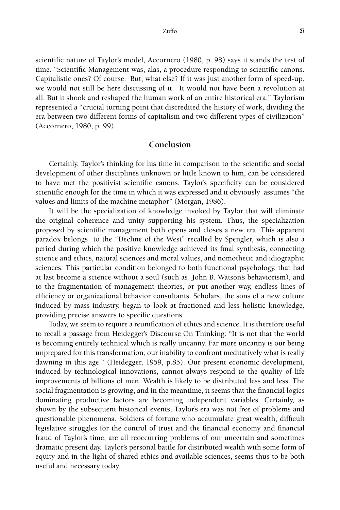scientific nature of Taylor's model, Accornero (1980, p. 98) says it stands the test of time. "Scientific Management was, alas, a procedure responding to scientific canons. Capitalistic ones? Of course. But, what else? If it was just another form of speed-up, we would not still be here discussing of it. It would not have been a revolution at all. But it shook and reshaped the human work of an entire historical era." Taylorism represented a "crucial turning point that discredited the history of work, dividing the era between two different forms of capitalism and two different types of civilization" (Accornero, 1980, p. 99).

## **Conclusion**

Certainly, Taylor's thinking for his time in comparison to the scientific and social development of other disciplines unknown or little known to him, can be considered to have met the positivist scientific canons. Taylor's specificity can be considered scientific enough for the time in which it was expressed and it obviously assumes "the values and limits of the machine metaphor" (Morgan, 1986).

It will be the specialization of knowledge invoked by Taylor that will eliminate the original coherence and unity supporting his system. Thus, the specialization proposed by scientific management both opens and closes a new era. This apparent paradox belongs to the "Decline of the West" recalled by Spengler, which is also a period during which the positive knowledge achieved its final synthesis, connecting science and ethics, natural sciences and moral values, and nomothetic and idiographic sciences. This particular condition belonged to both functional psychology, that had at last become a science without a soul (such as John B. Watson's behaviorism), and to the fragmentation of management theories, or put another way, endless lines of efficiency or organizational behavior consultants. Scholars, the sons of a new culture induced by mass industry, began to look at fractioned and less holistic knowledge, providing precise answers to specific questions.

Today, we seem to require a reunification of ethics and science. It is therefore useful to recall a passage from Heidegger's Discourse On Thinking: "It is not that the world is becoming entirely technical which is really uncanny. Far more uncanny is our being unprepared for this transformation, our inability to confront meditatively what is really dawning in this age." (Heidegger, 1959, p.85). Our present economic development, induced by technological innovations, cannot always respond to the quality of life improvements of billions of men. Wealth is likely to be distributed less and less. The social fragmentation is growing, and in the meantime, it seems that the financial logics dominating productive factors are becoming independent variables. Certainly, as shown by the subsequent historical events, Taylor's era was not free of problems and questionable phenomena. Soldiers of fortune who accumulate great wealth, difficult legislative struggles for the control of trust and the financial economy and financial fraud of Taylor's time, are all reoccurring problems of our uncertain and sometimes dramatic present day. Taylor's personal battle for distributed wealth with some form of equity and in the light of shared ethics and available sciences, seems thus to be both useful and necessary today.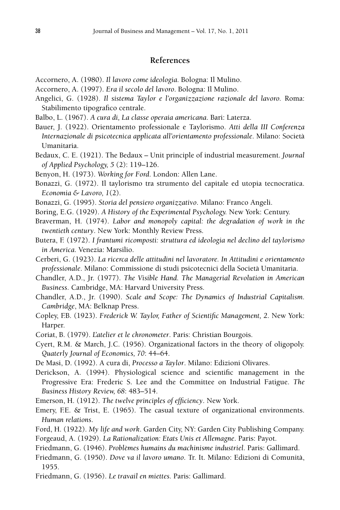# **References**

- Accornero, A. (1980). *Il lavoro come ideologia.* Bologna: Il Mulino.
- Accornero, A. (1997). *Era il secolo del lavoro*. Bologna: Il Mulino.
- Angelici, G. (1928). *Il sistema Taylor e l'organizzazione razionale del lavoro.* Roma: Stabilimento tipografico centrale.
- Balbo, L. (1967). *A cura di, La classe operaia americana*. Bari: Laterza.
- Bauer, J. (1922). Orientamento professionale e Taylorismo. *Atti della III Conferenza Internazionale di psicotecnica applicata all'orientamento professionale*. Milano: Società Umanitaria.
- Bedaux, C. E. (1921). The Bedaux Unit principle of industrial measurement. *Journal of Applied Psychology, 5* (2): 119–126.
- Benyon, H. (1973). *Working for Ford*. London: Allen Lane.
- Bonazzi, G. (1972). Il taylorismo tra strumento del capitale ed utopia tecnocratica. *Economia & Lavoro, 1*(2)*.*
- Bonazzi, G. (1995). *Storia del pensiero organizzativo*. Milano: Franco Angeli.
- Boring, E.G. (1929). *A History of the Experimental Psychology.* New York: Century.
- Braverman, H. (1974). *Labor and monopoly capital: the degradation of work in the twentieth century*. New York: Monthly Review Press.
- Butera, F. (1972). *I frantumi ricomposti: struttura ed ideologia nel declino del taylorismo in America*. Venezia: Marsilio.
- Cerberi, G. (1923). *La ricerca delle attitudini nel lavoratore. In Attitudini e orientamento professionale*. Milano: Commissione di studi psicotecnici della Società Umanitaria.
- Chandler, A.D., Jr. (1977). *The Visible Hand. The Managerial Revolution in American Business*. Cambridge, MA: Harvard University Press.
- Chandler, A.D., Jr. (1990). *Scale and Scope: The Dynamics of Industrial Capitalism. Cambridge*, MA: Belknap Press.
- Copley, F.B. (1923). *Frederick W. Taylor, Father of Scientific Management, 2*. New York: Harper.
- Coriat, B. (1979). *L'atelier et le chronometer*. Paris: Christian Bourgois.
- Cyert, R.M. & March, J.C. (1956). Organizational factors in the theory of oligopoly. *Quaterly Journal of Economics, 70*: 44–64.
- De Masi, D. (1992). A cura di, *Processo a Taylor*. Milano: Edizioni Olivares.
- Derickson, A. (1994). Physiological science and scientific management in the Progressive Era: Frederic S. Lee and the Committee on Industrial Fatigue. *The Business History Review, 68*: 483–514.
- Emerson, H. (1912). *The twelve principles of efficiency*. New York.
- Emery, F.E. & Trist, E. (1965). The casual texture of organizational environments. *Human relations*.
- Ford, H. (1922). *My life and work*. Garden City, NY: Garden City Publishing Company.
- Forgeaud, A. (1929). *La Rationalization: Etats Unis et Allemagne*. Paris: Payot.
- Friedmann, G. (1946). *Problèmes humains du machinisme industriel*. Paris: Gallimard.
- Friedmann, G. (1950). *Dove va il lavoro umano*. Tr. It. Milano: Edizioni di Comunità, 1955.
- Friedmann, G. (1956). *Le travail en miettes.* Paris: Gallimard.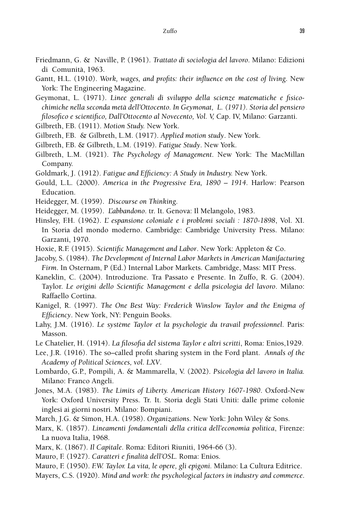- Friedmann, G. & Naville, P. (1961). *Trattato di sociologia del lavoro*. Milano: Edizioni di Comunità, 1963.
- Gantt, H.L. (1910). *Work, wages, and profits: their influence on the cost of living*. New York: The Engineering Magazine.
- Geymonat, L. (1971). *Linee generali di sviluppo della scienze matematiche e fisicochimiche nella seconda metà dell'Ottocento. In Geymonat, L. (1971). Storia del pensiero filosofico e scientifico, Dall'Ottocento al Novecento, Vol. V,* Cap. IV, Milano: Garzanti.
- Gilbreth, F.B. (1911). *Motion Study.* New York.
- Gilbreth, F.B. & Gilbreth, L.M. (1917). *Applied motion study*. New York.
- Gilbreth, F.B. & Gilbreth, L.M. (1919). *Fatigue Study*. New York.
- Gilbreth, L.M. (1921). *The Psychology of Management*. New York: The MacMillan Company.
- Goldmark, J. (1912). *Fatigue and Efficiency: A Study in Industry.* New York.
- Gould, L.L. (2000). *America in the Progressive Era, 1890 1914*. Harlow: Pearson Education.
- Heidegger, M. (1959). *Discourse on Thinking*.
- Heidegger, M. (1959). *L'abbandono*. tr. It. Genova: Il Melangolo, 1983.
- Hinsley, F.H. (1962). *L' espansione coloniale e i problemi sociali : 1870-1898*, Vol. XI. In Storia del mondo moderno. Cambridge: Cambridge University Press. Milano: Garzanti, 1970.
- Hoxie, R.F. (1915). *Scientific Management and Labor*. New York: Appleton & Co.
- Jacoby, S. (1984). *The Development of Internal Labor Markets in American Manifacturing Firm*. In Osternam, P (Ed.) Internal Labor Markets. Cambridge, Mass: MIT Press.
- Kaneklin, C. (2004). Introduzione. Tra Passato e Presente. In Zuffo, R. G. (2004). Taylor. *Le origini dello Scientific Management e della psicologia del lavoro*. Milano: Raffaello Cortina.
- Kanigel, R. (1997). *The One Best Way: Frederick Winslow Taylor and the Enigma of Efficiency*. New York, NY: Penguin Books.
- Lahy, J.M. (1916). *Le système Taylor et la psychologie du travail professionnel*. Paris: Masson.
- Le Chatelier, H. (1914). *La filosofia del sistema Taylor e altri scritti*, Roma: Enios,1929.
- Lee, J.R. (1916). The so–called profit sharing system in the Ford plant. *Annals of the Academy of Political Sciences, vol. LXV*.
- Lombardo, G.P., Pompili, A. & Mammarella, V. (2002). *Psicologia del lavoro in Italia.*  Milano: Franco Angeli.
- Jones, M.A. (1983). *The Limits of Liberty. American History 1607-1980*. Oxford-New York: Oxford University Press. Tr. It. Storia degli Stati Uniti: dalle prime colonie inglesi ai giorni nostri. Milano: Bompiani.
- March, J.G. & Simon, H.A. (1958). *Organizations*. New York: John Wiley & Sons.
- Marx, K. (1857). *Lineamenti fondamentali della critica dell'economia politica*, Firenze: La nuova Italia, 1968.
- Marx, K. (1867). *Il Capitale*. Roma: Editori Riuniti, 1964-66 (3).
- Mauro, F. (1927). *Caratteri e finalità dell'OSL.* Roma: Enios.
- Mauro, F. (1950). *F.W. Taylor. La vita, le opere, gli epigoni.* Milano: La Cultura Editrice.
- Mayers, C.S. (1920). *Mind and work: the psychological factors in industry and commerce*.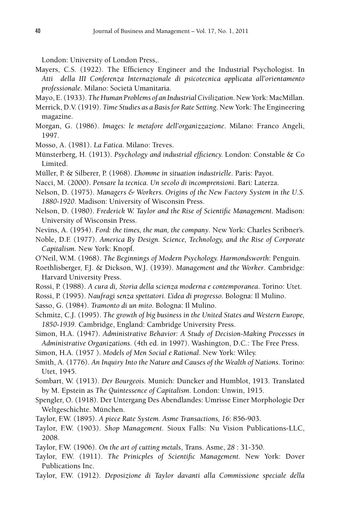London: University of London Press,.

- Mayers, C.S. (1922). The Efficiency Engineer and the Industrial Psychologist. In *Atti della III Conferenza Internazionale di psicotecnica applicata all'orientamento professionale*. Milano: Società Umanitaria.
- Mayo, E. (1933). *The Human Problems of an Industrial Civilization*. New York: MacMillan.
- Merrick, D.V. (1919). *Time Studies as a Basis for Rate Setting*. New York: The Engineering magazine.
- Morgan, G. (1986). *Images: le metafore dell'organizzazione*. Milano: Franco Angeli, 1997.
- Mosso, A. (1981). *La Fatica*. Milano: Treves.
- Münsterberg, H. (1913). *Psychology and industrial efficiency.* London: Constable & Co Limited.
- Müller, P. & Silberer, P. (1968). *L'homme in situation industrielle*. Paris: Payot.
- Nacci, M. (2000). *Pensare la tecnica. Un secolo di incomprensioni*. Bari: Laterza.
- Nelson, D. (1975). *Managers & Workers. Origins of the New Factory System in the U.S. 1880-1920*. Madison: University of Wisconsin Press.
- Nelson, D. (1980). *Frederick W. Taylor and the Rise of Scientific Management*. Madison: University of Wisconsin Press.
- Nevins, A. (1954). *Ford: the times, the man, the company*. New York: Charles Scribner's.
- Noble, D.F. (1977). *America By Design. Science, Technology, and the Rise of Corporate Capitalism*. New York: Knopf.
- O'Neil, W.M. (1968). *The Beginnings of Modern Psychology. Harmondsworth*: Penguin.
- Roethlisberger, F.J. & Dickson, W.J. (1939). *Management and the Worker*. Cambridge: Harvard University Press.
- Rossi, P. (1988). *A cura di, Storia della scienza moderna e contemporanea*. Torino: Utet.
- Rossi, P. (1995). *Naufragi senza spettatori. L'idea di progresso*. Bologna: Il Mulino.
- Sasso, G. (1984). *Tramonto di un mito*. Bologna: Il Mulino.
- Schmitz, C.J. (1995). *The growth of big business in the United States and Western Europe, 1850-1939*. Cambridge, England: Cambridge University Press.
- Simon, H.A. (1947). *Administrative Behavior: A Study of Decision-Making Processes in Administrative Organizations*. (4th ed. in 1997). Washington, D.C.: The Free Press.
- Simon, H.A. (1957 ). *Models of Men Social e Rational*. New York: Wiley.
- Smith, A. (1776). *An Inquiry Into the Nature and Causes of the Wealth of Nations*. Torino: Utet, 1945.
- Sombart, W. (1913). *Der Bourgeois*. Munich: Duncker and Humblot, 1913. Translated by M. Epstein as *The Quintessence of Capitalism*. London: Unwin, 1915.
- Spengler, O. (1918). Der Untergang Des Abendlandes: Umrisse Einer Morphologie Der Weltgeschichte. München.
- Taylor, F.W. (1895). *A piece Rate System. Asme Transactions, 16*: 856-903.
- Taylor, F.W. (1903). *Shop Management.* Sioux Falls: Nu Vision Publications-LLC, 2008.
- Taylor, F.W. (1906). *On the art of cutting metals*, Trans. Asme, *28* : 31-350.
- Taylor, F.W. (1911). *The Prinicples of Scientific Management.* New York: Dover Publications Inc.
- Taylor, F.W. (1912). *Deposizione di Taylor davanti alla Commissione speciale della*